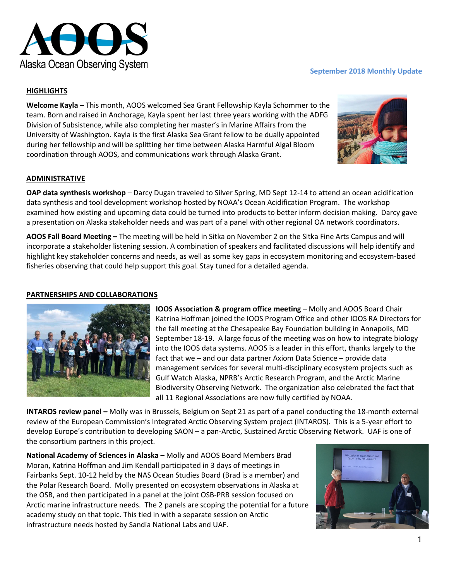

## **September 2018 Monthly Update**

# **HIGHLIGHTS**

**Welcome Kayla –** This month, AOOS welcomed Sea Grant Fellowship Kayla Schommer to the team. Born and raised in Anchorage, Kayla spent her last three years working with the ADFG Division of Subsistence, while also completing her master's in Marine Affairs from the University of Washington. Kayla is the first Alaska Sea Grant fellow to be dually appointed during her fellowship and will be splitting her time between Alaska Harmful Algal Bloom coordination through AOOS, and communications work through Alaska Grant.



#### **ADMINISTRATIVE**

**OAP data synthesis workshop** – Darcy Dugan traveled to Silver Spring, MD Sept 12-14 to attend an ocean acidification data synthesis and tool development workshop hosted by NOAA's Ocean Acidification Program. The workshop examined how existing and upcoming data could be turned into products to better inform decision making. Darcy gave a presentation on Alaska stakeholder needs and was part of a panel with other regional OA network coordinators.

**AOOS Fall Board Meeting –** The meeting will be held in Sitka on November 2 on the Sitka Fine Arts Campus and will incorporate a stakeholder listening session. A combination of speakers and facilitated discussions will help identify and highlight key stakeholder concerns and needs, as well as some key gaps in ecosystem monitoring and ecosystem-based fisheries observing that could help support this goal. Stay tuned for a detailed agenda.

### **PARTNERSHIPS AND COLLABORATIONS**



**IOOS Association & program office meeting – Molly and AOOS Board Chair** Katrina Hoffman joined the IOOS Program Office and other IOOS RA Directors for the fall meeting at the Chesapeake Bay Foundation building in Annapolis, MD September 18-19. A large focus of the meeting was on how to integrate biology into the IOOS data systems. AOOS is a leader in this effort, thanks largely to the fact that we – and our data partner Axiom Data Science – provide data management services for several multi-disciplinary ecosystem projects such as Gulf Watch Alaska, NPRB's Arctic Research Program, and the Arctic Marine Biodiversity Observing Network. The organization also celebrated the fact that all 11 Regional Associations are now fully certified by NOAA.

**INTAROS review panel –** Molly was in Brussels, Belgium on Sept 21 as part of a panel conducting the 18-month external review of the European Commission's Integrated Arctic Observing System project (INTAROS). This is a 5-year effort to develop Europe's contribution to developing SAON – a pan-Arctic, Sustained Arctic Observing Network. UAF is one of the consortium partners in this project.

**National Academy of Sciences in Alaska –** Molly and AOOS Board Members Brad Moran, Katrina Hoffman and Jim Kendall participated in 3 days of meetings in Fairbanks Sept. 10-12 held by the NAS Ocean Studies Board (Brad is a member) and the Polar Research Board. Molly presented on ecosystem observations in Alaska at the OSB, and then participated in a panel at the joint OSB-PRB session focused on Arctic marine infrastructure needs. The 2 panels are scoping the potential for a future academy study on that topic. This tied in with a separate session on Arctic infrastructure needs hosted by Sandia National Labs and UAF.

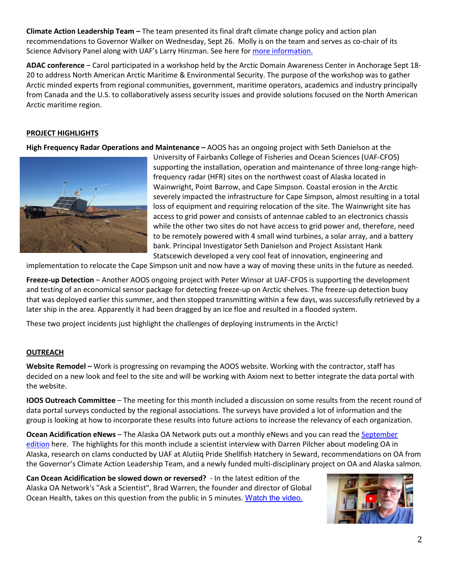**Climate Action Leadership Team –** The team presented its final draft climate change policy and action plan recommendations to Governor Walker on Wednesday, Sept 26. Molly is on the team and serves as co-chair of its Science Advisory Panel along with UAF's Larry Hinzman. See here for *more information*.

**ADAC conference** – Carol participated in a workshop held by the Arctic Domain Awareness Center in Anchorage Sept 18- 20 to address North American Arctic Maritime & Environmental Security. The purpose of the workshop was to gather Arctic minded experts from regional communities, government, maritime operators, academics and industry principally from Canada and the U.S. to collaboratively assess security issues and provide solutions focused on the North American Arctic maritime region.

# **PROJECT HIGHLIGHTS**

**High Frequency Radar Operations and Maintenance –** AOOS has an ongoing project with Seth Danielson at the



University of Fairbanks College of Fisheries and Ocean Sciences (UAF-CFOS) supporting the installation, operation and maintenance of three long-range highfrequency radar (HFR) sites on the northwest coast of Alaska located in Wainwright, Point Barrow, and Cape Simpson. Coastal erosion in the Arctic severely impacted the infrastructure for Cape Simpson, almost resulting in a total loss of equipment and requiring relocation of the site. The Wainwright site has access to grid power and consists of antennae cabled to an electronics chassis while the other two sites do not have access to grid power and, therefore, need to be remotely powered with 4 small wind turbines, a solar array, and a battery bank. Principal Investigator Seth Danielson and Project Assistant Hank Statscewich developed a very cool feat of innovation, engineering and

implementation to relocate the Cape Simpson unit and now have a way of moving these units in the future as needed.

**Freeze-up Detection** – Another AOOS ongoing project with Peter Winsor at UAF-CFOS is supporting the development and testing of an economical sensor package for detecting freeze-up on Arctic shelves. The freeze-up detection buoy that was deployed earlier this summer, and then stopped transmitting within a few days, was successfully retrieved by a later ship in the area. Apparently it had been dragged by an ice floe and resulted in a flooded system.

These two project incidents just highlight the challenges of deploying instruments in the Arctic!

## **OUTREACH**

**Website Remodel –** Work is progressing on revamping the AOOS website. Working with the contractor, staff has decided on a new look and feel to the site and will be working with Axiom next to better integrate the data portal with the website.

**IOOS Outreach Committee** – The meeting for this month included a discussion on some results from the recent round of data portal surveys conducted by the regional associations. The surveys have provided a lot of information and the group is looking at how to incorporate these results into future actions to increase the relevancy of each organization.

**Ocean Acidification eNews** – The Alaska OA Network puts out a monthly eNews and you can read the [September](https://mailchi.mp/aoos/slowing-down-oa-state-policy-and-salmon?e=5b278731cf)  [edition](https://mailchi.mp/aoos/slowing-down-oa-state-policy-and-salmon?e=5b278731cf) here. The highlights for this month include a scientist interview with Darren Pilcher about modeling OA in Alaska, research on clams conducted by UAF at Alutiiq Pride Shellfish Hatchery in Seward, recommendations on OA from the Governor's Climate Action Leadership Team, and a newly funded multi-disciplinary project on OA and Alaska salmon.

**Can Ocean Acidification be slowed down or reversed?** - In the latest edition of the Alaska OA Network's "Ask a Scientist", Brad Warren, the founder and director of Global Ocean Health, takes on this question from the public in 5 minutes. [Watch the video.](https://www.youtube.com/watch?v=FCmF7vo_ujM)